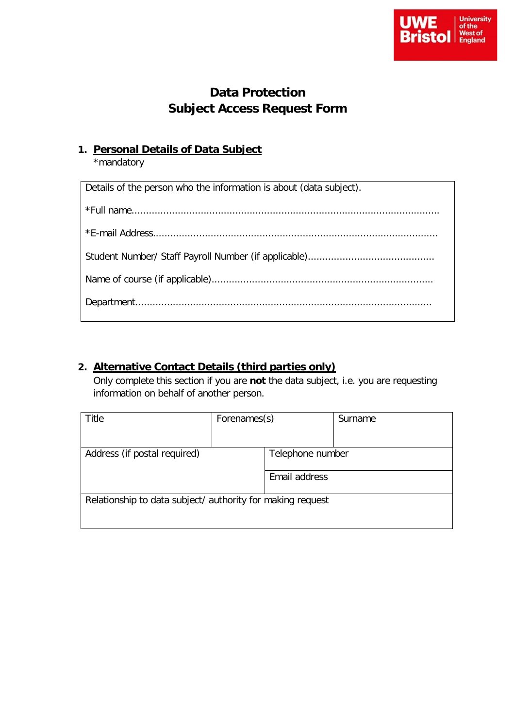

# **Data Protection Subject Access Request Form**

## **1. Personal Details of Data Subject**

\*mandatory

| Details of the person who the information is about (data subject). |  |  |  |  |
|--------------------------------------------------------------------|--|--|--|--|
|                                                                    |  |  |  |  |
|                                                                    |  |  |  |  |
|                                                                    |  |  |  |  |
|                                                                    |  |  |  |  |
|                                                                    |  |  |  |  |

## **2. Alternative Contact Details (third parties only)**

Only complete this section if you are **not** the data subject, i.e. you are requesting information on behalf of another person.

| Title                                                      | Forenames(s) |               | Surname          |  |  |
|------------------------------------------------------------|--------------|---------------|------------------|--|--|
|                                                            |              |               |                  |  |  |
| Address (if postal required)                               |              |               | Telephone number |  |  |
|                                                            |              |               |                  |  |  |
|                                                            |              | Email address |                  |  |  |
|                                                            |              |               |                  |  |  |
| Relationship to data subject/ authority for making request |              |               |                  |  |  |
|                                                            |              |               |                  |  |  |
|                                                            |              |               |                  |  |  |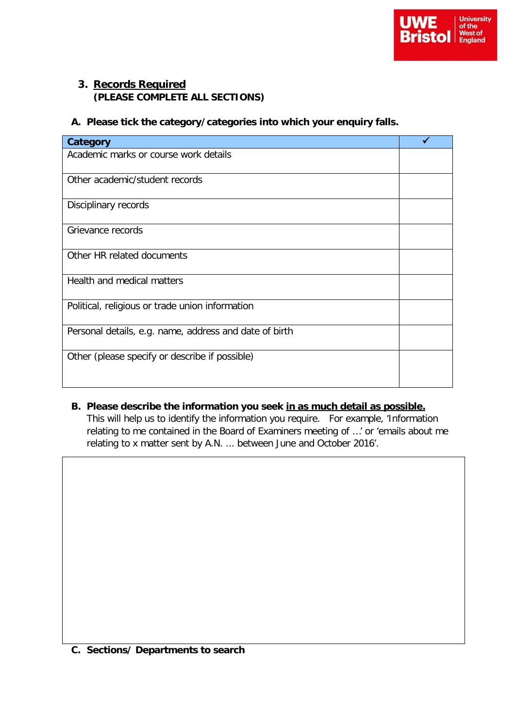

### **3. Records Required (PLEASE COMPLETE ALL SECTIONS)**

#### **A. Please tick the category/categories into which your enquiry falls.**

| Category                                               |  |
|--------------------------------------------------------|--|
| Academic marks or course work details                  |  |
| Other academic/student records                         |  |
| Disciplinary records                                   |  |
| Grievance records                                      |  |
| Other HR related documents                             |  |
| Health and medical matters                             |  |
| Political, religious or trade union information        |  |
| Personal details, e.g. name, address and date of birth |  |
| Other (please specify or describe if possible)         |  |

**B. Please describe the information you seek in as much detail as possible.**  This will help us to identify the information you require. For example, 'Information relating to me contained in the Board of Examiners meeting of …' or 'emails about me relating to x matter sent by A.N. ... between June and October 2016'.

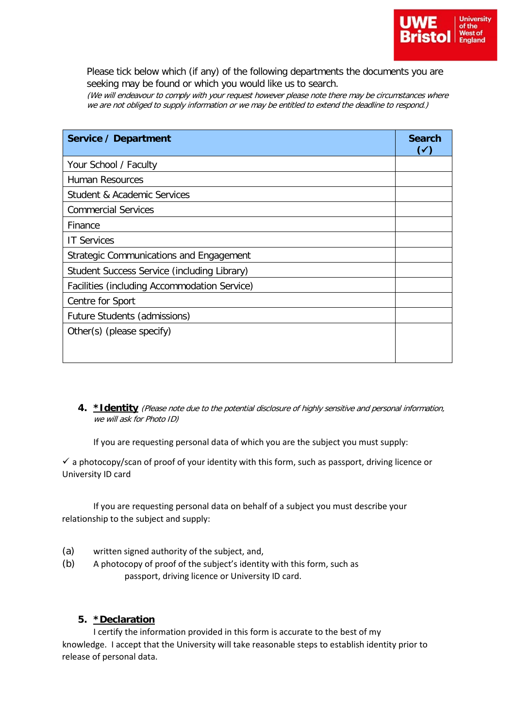

Please tick below which (if any) of the following departments the documents you are seeking may be found or which you would like us to search.

(We will endeavour to comply with your request however please note there may be circumstances where we are not obliged to supply information or we may be entitled to extend the deadline to respond.)

| Service / Department                           | <b>Search</b><br>$(\checkmark)$ |
|------------------------------------------------|---------------------------------|
| Your School / Faculty                          |                                 |
| Human Resources                                |                                 |
| Student & Academic Services                    |                                 |
| <b>Commercial Services</b>                     |                                 |
| Finance                                        |                                 |
| <b>IT Services</b>                             |                                 |
| <b>Strategic Communications and Engagement</b> |                                 |
| Student Success Service (including Library)    |                                 |
| Facilities (including Accommodation Service)   |                                 |
| Centre for Sport                               |                                 |
| Future Students (admissions)                   |                                 |
| Other(s) (please specify)                      |                                 |
|                                                |                                 |

**4. \*Identity** (Please note due to the potential disclosure of highly sensitive and personal information, we will ask for Photo ID)

If you are requesting personal data of which you are the subject you must supply:

 $\checkmark$  a photocopy/scan of proof of your identity with this form, such as passport, driving licence or University ID card

If you are requesting personal data on behalf of a subject you must describe your relationship to the subject and supply:

- (a) written signed authority of the subject, and,
- (b) A photocopy of proof of the subject's identity with this form, such as passport, driving licence or University ID card.

### **5. \*Declaration**

I certify the information provided in this form is accurate to the best of my knowledge. I accept that the University will take reasonable steps to establish identity prior to release of personal data.